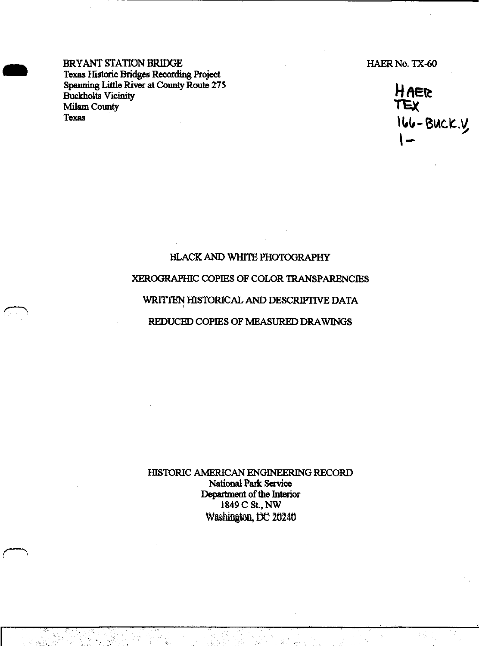BRYANT STATION BRIDGE HAER No. TX-60 Texas Historic Bridges Recording Project Spanning Little River at County Route 275 **let Attack be a strategy of the Att for Attack**<br>Buckholts Vicinity "<br>" Spanning Little River at County Route 275<br>Buckholts Vicinity<br>Milam County<br>TEX<br>Texas

166-Buck.y 1-

### BLACK AND WHITE PHOTOGRAPHY

# XEROGRAPHIC COPIES OF COLOR TRANSPARENCIES

# WRITTEN HISTORICAL AND DESCRIPTIVE DATA

## REDUCED COPIES OF MEASURED DRAWINGS

HISTORIC AMERICAN ENGINEERING RECORD National Park Service Department of the Interior 1849 C St., NW Washington, DC 20240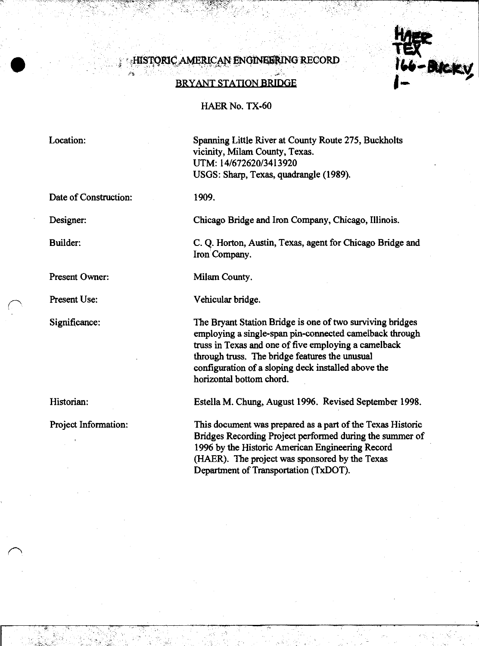## **HISTORIC AMERICAN ENGINEERING RECORD**

#### BRYANT STATION BRIDGE

#### HAER No. TX-60

Location:

Date of Construction:

Designer:

Builder:

Present Owner:

Present Use:

Significance:

Historian:

*r^*

Project Information:

Spanning Little River at County Route 275, Buckholts vicinity, Milam County, Texas. UTM: 14/672620/3413920 USGS: Sharp, Texas, quadrangle (1989).

**Bick** 

1909.

Chicago Bridge and Iron Company, Chicago, Illinois.

C. Q. Horton, Austin, Texas, agent for Chicago Bridge and Iron Company.

Milam County.

Vehicular bridge.

The Bryant Station Bridge is one of two surviving bridges employing a single-span pin-connected camelback through truss in Texas and one of five employing a camelback through truss. The bridge features the unusual configuration of a sloping deck installed above the horizontal bottom chord.

Estella M. Chung, August 1996. Revised September 1998.

This document was prepared as a part of the Texas Historic Bridges Recording Project performed during the summer of 1996 by the Historic American Engineering Record (HAER). The project was sponsored by the Texas Department of Transportation (TxDOT).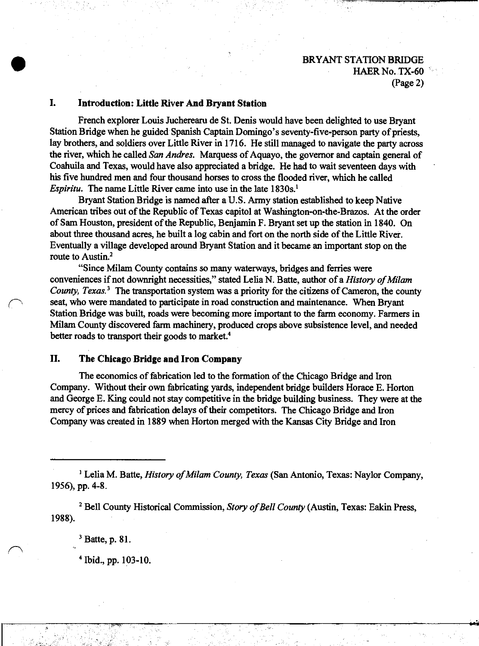## **I. Introduction: Little River And Bryant Station**

French explorer Louis Jucherearu de St. Denis would have been delighted to use Bryant Station Bridge when he guided Spanish Captain Domingo's seventy-five-person party of priests, lay brothers, and soldiers over Little River in 1716. He still managed to navigate the party across the river, which he called *San Andres*. Marquess of Aquayo, the governor and captain general of Coahuila and Texas, would have also appreciated a bridge. He had to wait seventeen days with his five hundred men and four thousand horses to cross the flooded river, which he called *Espiritu.* The name Little River came into use in the late 1830s.<sup>1</sup>

Bryant Station Bridge is named after a U.S. Army station established to keep Native American tribes out of the Republic of Texas capitol at Washington-on-the-Brazos. At the order of Sam Houston, president of the Republic, Benjamin F. Bryant set up the station in 1840. On about three thousand acres, he built a log cabin and fort on the north side ofthe Little River. Eventually a village developed around Bryant Station and it became an important stop on the route to Austin.<sup>2</sup>

"Since Milam County contains so many waterways, bridges and ferries were conveniences if not downright necessities," stated Lelia N. Batte, author of a *History of Milam County, Texas.*<sup>3</sup> The transportation system was a priority for the citizens of Cameron, the county seat, who were mandated to participate in road construction and maintenance. When Bryant Station Bridge was built, roads were becoming more important to the farm economy. Farmers in Milam County discovered farm machinery, produced crops above subsistence level, and needed better roads to transport their goods to market.<sup>4</sup>

#### **II. The Chicago Bridge and Iron Company**

The economics of fabrication led to the formation of the Chicago Bridge and Iron Company. Without their own fabricating yards, independent bridge builders Horace E. Horton and George E. King could not stay competitive in the bridge building business. They were at the mercy of prices and fabrication delays of their competitors. The Chicago Bridge and Iron Company was created in 1889 when Horton merged with the Kansas City Bridge and Iron

<sup>1</sup> Lelia M. Batte, *History of Milam County, Texas* (San Antonio, Texas: Naylor Company, 1956), pp. 4-8.

<sup>2</sup> Bell County Historical Commission, *Story of Bell County* (Austin, Texas: Eakin Press, 1988).

**• jwwv -\*\*\*l**

 $3$  Batte, p. 81.

*r^*

4 Ibid., pp. 103-10.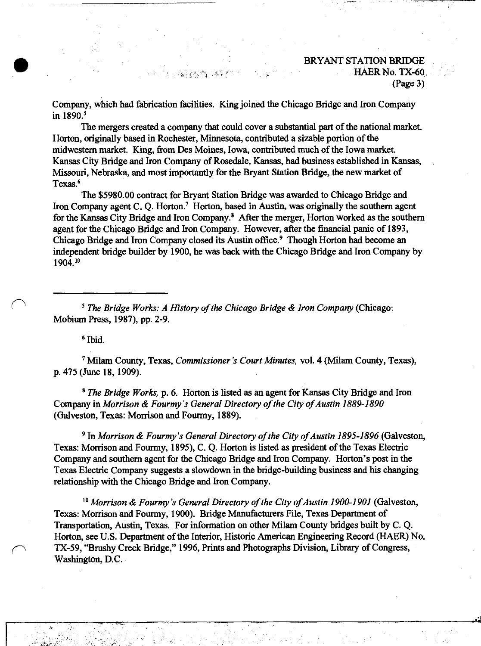# BRYANT STATION BRIDGE , which is the set of  $\mathbb{R}^n$  ,  $\mathbb{R}^n$  ,  $\mathbb{R}^n$  ,  $\mathbb{R}^n$  ,  $\mathbb{R}^n$  ,  $\mathbb{R}^n$  ,  $\mathbb{R}^n$  ,  $\mathbb{R}^n$  ,  $\mathbb{R}^n$  ,  $\mathbb{R}^n$  ,  $\mathbb{R}^n$ (Page 3)

**-ril**

Company, which had fabrication facilities. King joined the Chicago Bridge and Iron Company in 1890.<sup>5</sup>

The mergers created a company that could cover a substantial part of the national market. Horton, originally based in Rochester, Minnesota, contributed a sizable portion of the midwestern market. King, from Des Moines, Iowa, contributed much of the Iowa market. Kansas City Bridge and Iron Company of Rosedale, Kansas, had business established in Kansas, Missouri, Nebraska, and most importantly for the Bryant Station Bridge, the new market of Texas.<sup>6</sup>

The \$5980.00 contract for Bryant Station Bridge was awarded to Chicago Bridge and Iron Company agent C. Q. Horton.<sup>7</sup> Horton, based in Austin, was originally the southern agent for the Kansas City Bridge and Iron Company.<sup>8</sup> After the merger, Horton worked as the southern agent for the Chicago Bridge and Iron Company. However, after the financial panic of 1893, Chicago Bridge and Iron Company closed its Austin office.<sup>9</sup> Though Horton had become an independent bridge builder by 1900, he was back with the Chicago Bridge and Iron Company by 1904.<sup>10</sup>

<sup>5</sup> *The Bridge Works: A History ofthe Chicago Bridge & Iron Company* (Chicago: Mobium Press, 1987), pp. 2-9.

6 Ibid.

<sup>7</sup> Milam County, Texas, *Commissioner's Court Minutes,* vol. 4 (Milam County, Texas), p. 475 (June 18,1909).

<sup>8</sup> *The Bridge Works,* p. 6. Horton is listed as an agent for Kansas City Bridge and Iron Company in *Morrison* & *Fourmy's* General Directory of the City of Austin 1889-1890 (Galveston, Texas: Morrison and Fourmy, 1889).

<sup>9</sup> In *Morrison & Fourmy's General Directory of the City of Austin 1895-1896* (Galveston, Texas: Morrison and Fourmy, 1895), C. Q. Horton is listed as president of the Texas Electric Company and southern agent for the Chicago Bridge and Iron Company. Horton's post in the Texas Electric Company suggests a slowdown in the bridge-building business and his changing relationship with the Chicago Bridge and Iron Company.

<sup>10</sup> Morrison & Fourmy's General Directory of the City of Austin 1900-1901 (Galveston, Texas: Morrison and Fourmy, 1900). Bridge Manufacturers File, Texas Department of Transportation, Austin, Texas. For information on other Milam County bridges built by C. Q. Horton, see U.S. Department of the Interior, Historic American Engineering Record (HAER) No. *f^\* TX-59, "Brushy Creek Bridge," 1996, Prints and Photographs Division, Library ofCongress, Washington, D.C.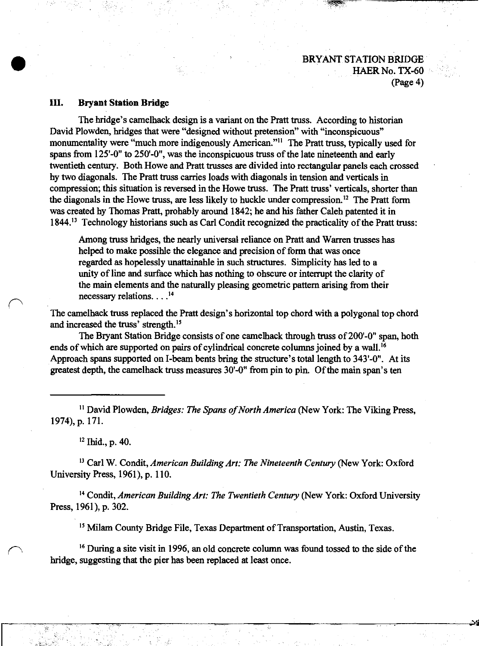**sWi**

### **III. Bryant Station Bridge**

The bridge's camelback design is a variant on the Pratt truss. According to historian David Plowden, bridges that were "designed without pretension" with "inconspicuous" monumentality were "much more indigenously American."<sup>11</sup> The Pratt truss, typically used for spans from 125'-0" to 250'-0", was the inconspicuous truss of the late nineteenth and early twentieth century. Both Howe and Pratt trusses are divided into rectangular panels each crossed by two diagonals. The Pratt truss carries loads with diagonals in tension and verticals in compression; this situation is reversed in the Howe truss. The Pratt truss' verticals, shorter than the diagonals in the Howe truss, are less likely to huckle under compression.<sup>12</sup> The Pratt form was created by Thomas Pratt, probably around 1842; he and his father Caleb patented it in 1844.<sup>13</sup> Technology historians such as Carl Condit recognized the practicality of the Pratt truss:

Among truss bridges, the nearly universal reliance on Pratt and Warren trusses has helped to make possible the elegance and precision of form that was once regarded as hopelessly unattainable in such structures. Simplicity has led to a unity of line and surface which has nothing to obscure or interrupt the clarity of the main elements and the naturally pleasing geometric pattern arising from their necessary relations.  $\ldots$ <sup>14</sup>

The camelback truss replaced the Pratt design's horizontal top chord with a polygonal top chord and increased the truss' strength.<sup>15</sup>

The Bryant Station Bridge consists of one camelback through truss of 200'-0" span, both ends of which are supported on pairs of cylindrical concrete columns joined by a wall.<sup>16</sup> Approach spans supported on I-beam bents bring the structure's total length to 343'-0". At its greatest depth, the camelhack truss measures 30'-0" from pin to pin. Of the main span's ten

<sup>11</sup> David Plowden, *Bridges: The Spans of North America* (New York: The Viking Press, 1974), p. 171.

<sup>12</sup> Ibid., p. 40.

<sup>13</sup> Carl W. Condit, *American BuildingArt: The Nineteenth Century* (New York: Oxford University Press, 1961), p. 110.

<sup>14</sup> Condit, *American Building Art: The Twentieth Century* (New York: Oxford University Press, 1961), p. 302.

<sup>15</sup> Milam County Bridge File, Texas Department of Transportation, Austin, Texas.

<sup>16</sup> During a site visit in 1996, an old concrete column was found tossed to the side of the bridge, suggesting that the pier has been replaced at least once.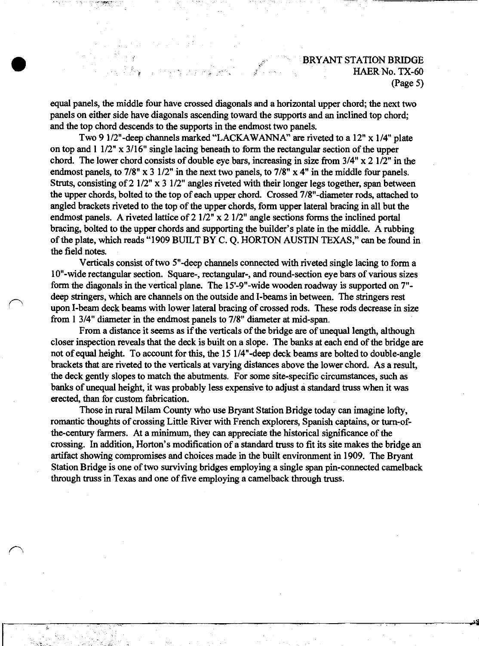v£

equal panels, the middle four have crossed diagonals and a horizontal upper chord; the next two panels on either side have diagonals ascending toward the supports and an inclined top chord; and the top chord descends to the supports in the endmost two panels.

Two 9 l/2"-deep channels marked "LACKAWANNA" are riveted to a 12" x 1/4" plate on top and  $1 \frac{1}{2}$ " x  $\frac{3}{16}$ " single lacing beneath to form the rectangular section of the upper chord. The lower chord consists of double eye bars, increasing in size from  $3/4$ " x 2  $1/2$ " in the endmost panels, to 7/8" x 3 1/2" in the next two panels, to 7/8" x 4" in the middle four panels. Struts, consisting of 2 1/2" x 3 1/2" angles riveted with their longer legs together, span between the upper chords, bolted to the top of each upper chord. Crossed 7/8"-diameter rods, attached to angled brackets riveted to the top of the upper chords, form upper lateral bracing in all but the endmost panels. A riveted lattice of 2 1/2" x 2 1/2" angle sections forms the inclined portal bracing, bolted to the upper chords and supporting the builder's plate in the middle. A rubbing of the plate, which reads "1909 BUILT BY C. Q. HORTON AUSTIN TEXAS," can be found in the field notes.

Verticals consist of two 5"-deep channels connected with riveted single lacing to form a 10"-wide rectangular section. Square-, rectangular-, and round-section eye bars of various sizes form the diagonals in the vertical plane. The 15'-9"-wide wooden roadway is supported on 7" deep stringers, which are channels on the outside and I-beams in between. The stringers rest upon I-beam deck beams with lower lateral bracing of crossed rods. These rods decrease in size from <sup>1</sup> 3/4" diameter in the endmost panels to 7/8" diameter at mid-span.

**r>**

*r\*

From a distance it seems as if the verticals of the bridge are of unequal length, although closer inspection reveals that the deck is built on a slope. The banks at each end of the bridge are not of equal height. To account for this, the 15 l/4"-deep deck beams are bolted to double-angle brackets that are riveted to the verticals at varying distances above the lower chord. As a result, the deck gently slopes to match the abutments. For some site-specific circumstances, such as banks of unequal height, it was probably less expensive to adjust a standard truss when it was erected, than for custom fabrication.

Those in rural Milam County who use Bryant Station Bridge today can imagine lofty, romantic thoughts of crossing Little River with French explorers, Spanish captains, or turn-ofthe-century farmers. At a minimum, they can appreciate the historical significance of the crossing. In addition, Horton's modification of a standard truss to fit its site makes the bridge an artifact showing compromises and choices made in the built environment in 1909. The Bryant Station Bridge is one of two surviving bridges employing a single span pin-connected camelback through truss in Texas and one of five employing a camelback through truss.